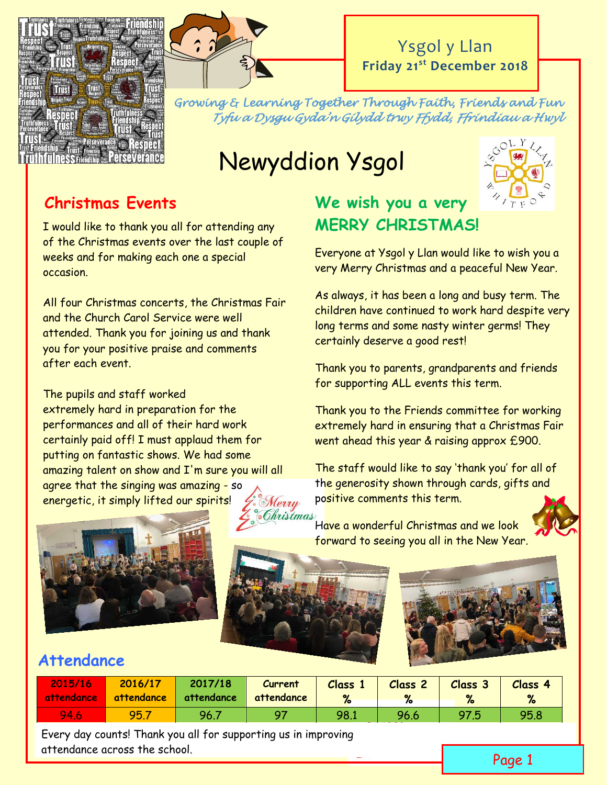



Ysgol y Llan **Friday 21st December 2018**

*Growing & Learning Together Through Faith, Friends and Fun Tyfu a Dysgu Gyda'n Gilydd trwy Ffydd, Ffrindiau a Hwyl* 

# Newyddion Ysgol



## **Christmas Events**

I would like to thank you all for attending any of the Christmas events over the last couple of weeks and for making each one a special occasion.

All four Christmas concerts, the Christmas Fair and the Church Carol Service were well attended. Thank you for joining us and thank you for your positive praise and comments after each event.

The pupils and staff worked extremely hard in preparation for the performances and all of their hard work certainly paid off! I must applaud them for putting on fantastic shows. We had some amazing talent on show and I'm sure you will all agree that the singing was amazing - so energetic, it simply lifted our spirits!

# **We wish you a very MERRY CHRISTMAS!**

Everyone at Ysgol y Llan would like to wish you a very Merry Christmas and a peaceful New Year.

As always, it has been a long and busy term. The children have continued to work hard despite very long terms and some nasty winter germs! They certainly deserve a good rest!

Thank you to parents, grandparents and friends for supporting ALL events this term.

Thank you to the Friends committee for working extremely hard in ensuring that a Christmas Fair went ahead this year & raising approx £900.

The staff would like to say 'thank you' for all of the generosity shown through cards, gifts and Merry Po<mark>sitive comments this term.</mark><br>Chris*tmas* 



Have a wonderful Christmas and we look forward to seeing you all in the New Year.



## **Attendance**

| 2015/16<br>attendance | 2016/17<br>attendance | 2017/18<br>attendance | Current<br>attendance | <b>Class</b> | <b>Class 2</b> | Class 3 | Class 4<br>% |
|-----------------------|-----------------------|-----------------------|-----------------------|--------------|----------------|---------|--------------|
| 94.6                  | 95.                   | 96.7                  |                       | 98.1         | 96.6           | 97.5    | 95.8         |

Every day counts! Thank you all for supporting us in improving attendance across the school.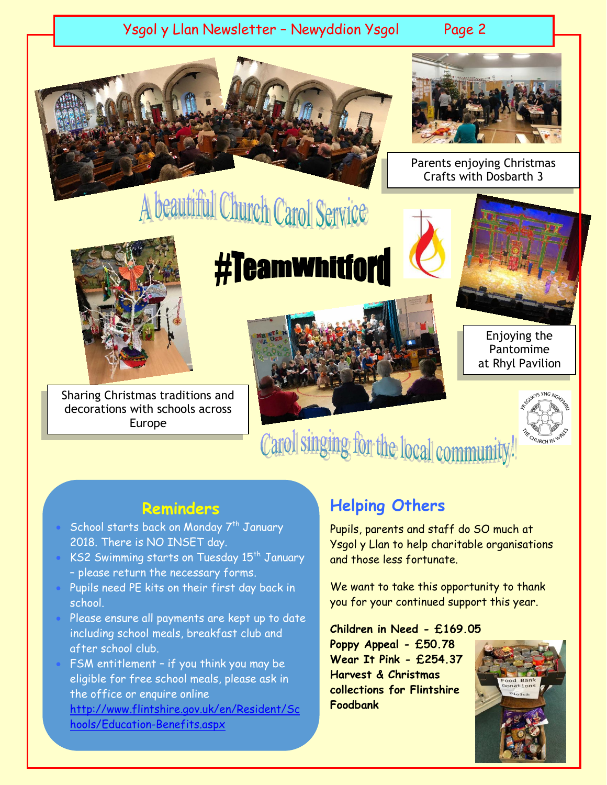#### Ysgol y Llan Newsletter – Newyddion Ysgol Page 2





Parents enjoying Christmas Crafts with Dosbarth 3

Sharing Christmas traditions and decorations with schools across Europe

# #Teamwhitford



Enjoying the Pantomime at Rhyl Pavilion



Carol singing for the local community

#### **Reminders**

- School starts back on Monday 7<sup>th</sup> January 2018. There is NO INSET day.
- KS2 Swimming starts on Tuesday 15<sup>th</sup> January – please return the necessary forms.
- Pupils need PE kits on their first day back in school.
- Please ensure all payments are kept up to date including school meals, breakfast club and after school club.
- FSM entitlement if you think you may be eligible for free school meals, please ask in the office or enquire online [http://www.flintshire.gov.uk/en/Resident/Sc](http://www.flintshire.gov.uk/en/Resident/Schools/Education-Benefits.aspx) [hools/Education-Benefits.aspx](http://www.flintshire.gov.uk/en/Resident/Schools/Education-Benefits.aspx)

### **Helping Others**

Pupils, parents and staff do SO much at Ysgol y Llan to help charitable organisations and those less fortunate.

We want to take this opportunity to thank you for your continued support this year.

**Children in Need - £169.05 Poppy Appeal - £50.78 Wear It Pink - £254.37 Harvest & Christmas collections for Flintshire Foodbank**